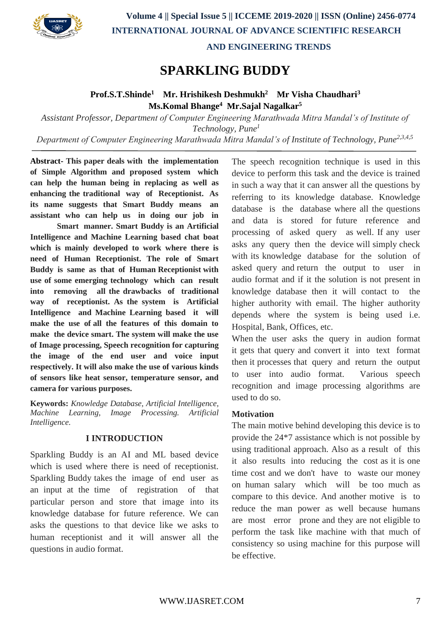

 **AND ENGINEERING TRENDS**

# **SPARKLING BUDDY**

# **Prof.S.T.Shinde<sup>1</sup>Mr. Hrishikesh Deshmukh<sup>2</sup> Mr Visha Chaudhari<sup>3</sup> Ms.Komal Bhange<sup>4</sup> Mr.Sajal Nagalkar<sup>5</sup>**

*Assistant Professor, Department of Computer Engineering Marathwada Mitra Mandal's of Institute of Technology, Pune<sup>1</sup> Department of Computer Engineering Marathwada Mitra Mandal's of Institute of Technology, Pune2,3,4,5*

**Abstract- This paper deals with the implementation of Simple Algorithm and proposed system which can help the human being in replacing as well as enhancing the traditional way of Receptionist. As its name suggests that Smart Buddy means an assistant who can help us in doing our job in**

**Smart manner. Smart Buddy is an Artificial Intelligence and Machine Learning based chat boat which is mainly developed to work where there is need of Human Receptionist. The role of Smart Buddy is same as that of Human Receptionist with use of some emerging technology which can result into removing all the drawbacks of traditional way of receptionist. As the system is Artificial Intelligence and Machine Learning based it will make the use of all the features of this domain to make the device smart. The system will make the use of Image processing, Speech recognition for capturing the image of the end user and voice input respectively. It will also make the use of various kinds of sensors like heat sensor, temperature sensor, and camera for various purposes.**

**Keywords:** *Knowledge Database, Artificial Intelligence, Machine Learning, Image Processing. Artificial Intelligence.*

# **I INTRODUCTION**

Sparkling Buddy is an AI and ML based device which is used where there is need of receptionist. Sparkling Buddy takes the image of end user as an input at the time of registration of that particular person and store that image into its knowledge database for future reference. We can asks the questions to that device like we asks to human receptionist and it will answer all the questions in audio format.

The speech recognition technique is used in this device to perform this task and the device is trained in such a way that it can answer all the questions by referring to its knowledge database. Knowledge database is the database where all the questions and data is stored for future reference and processing of asked query as well. If any user asks any query then the device will simply check with its knowledge database for the solution of asked query and return the output to user in audio format and if it the solution is not present in knowledge database then it will contact to the higher authority with email. The higher authority depends where the system is being used i.e. Hospital, Bank, Offices, etc.

When the user asks the query in audion format it gets that query and convert it into text format then it processes that query and return the output to user into audio format. Various speech recognition and image processing algorithms are used to do so.

# **Motivation**

The main motive behind developing this device is to provide the 24\*7 assistance which is not possible by using traditional approach. Also as a result of this it also results into reducing the cost as it is one time cost and we don't have to waste our money on human salary which will be too much as compare to this device. And another motive is to reduce the man power as well because humans are most error prone and they are not eligible to perform the task like machine with that much of consistency so using machine for this purpose will be effective.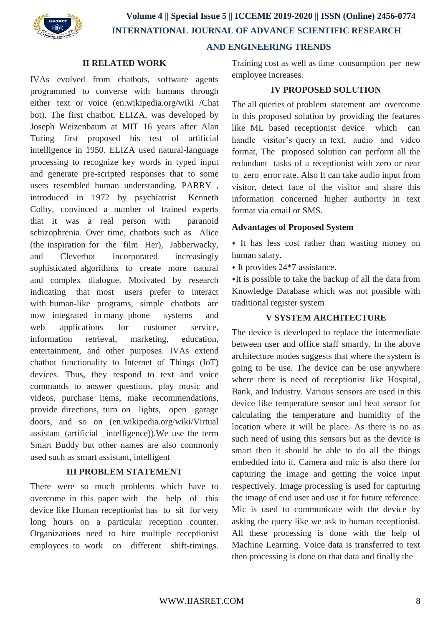

# **AND ENGINEERING TRENDS**

### **II RELATED WORK**

IVAs evolved from chatbots, software agents programmed to converse with humans through either text or voice (en.wikipedia.org/wiki /Chat bot). The first chatbot, ELIZA, was developed by Joseph Weizenbaum at MIT 16 years after Alan Turing first proposed his test of artificial intelligence in 1950. ELIZA used natural-language processing to recognize key words in typed input and generate pre-scripted responses that to some users resembled human understanding. PARRY , introduced in 1972 by psychiatrist Kenneth Colby, convinced a number of trained experts that it was a real person with paranoid schizophrenia. Over time, chatbots such as Alice (the inspiration for the film Her), Jabberwacky, and Cleverbot incorporated increasingly sophisticated algorithms to create more natural and complex dialogue. Motivated by research indicating that most users prefer to interact with human-like programs, simple chatbots are now integrated in many phone systems and web applications for customer service, information retrieval, marketing, education, entertainment, and other purposes. IVAs extend chatbot functionality to Internet of Things (IoT) devices. Thus, they respond to text and voice commands to answer questions, play music and videos, purchase items, make recommendations, provide directions, turn on lights, open garage doors, and so on (en.wikipedia.org/wiki/Virtual assistant (artificial intelligence)). We use the term Smart Buddy but other names are also commonly used such as smart assistant, intelligent

# **III PROBLEM STATEMENT**

There were so much problems which have to overcome in this paper with the help of this device like Human receptionist has to sit for very long hours on a particular reception counter. Organizations need to hire multiple receptionist employees to work on different shift-timings.

Training cost as well as time consumption per new employee increases.

# **IV PROPOSED SOLUTION**

The all queries of problem statement are overcome in this proposed solution by providing the features like ML based receptionist device which can handle visitor's query in text, audio and video format, The proposed solution can perform all the redundant tasks of a receptionist with zero or near to zero error rate. Also It can take audio input from visitor, detect face of the visitor and share this information concerned higher authority in text format via email or SMS.

#### **Advantages of Proposed System**

⦁ It has less cost rather than wasting money on human salary.

⦁ It provides 24\*7 assistance.

⦁It is possible to take the backup of all the data from Knowledge Database which was not possible with traditional register system

#### **V SYSTEM ARCHITECTURE**

The device is developed to replace the intermediate between user and office staff smartly. In the above architecture modes suggests that where the system is going to be use. The device can be use anywhere where there is need of receptionist like Hospital, Bank, and Industry. Various sensors are used in this device like temperature sensor and heat sensor for calculating the temperature and humidity of the location where it will be place. As there is no as such need of using this sensors but as the device is smart then it should be able to do all the things embedded into it. Camera and mic is also there for capturing the image and getting the voice input respectively. Image processing is used for capturing the image of end user and use it for future reference. Mic is used to communicate with the device by asking the query like we ask to human receptionist. All these processing is done with the help of Machine Learning. Voice data is transferred to text then processing is done on that data and finally the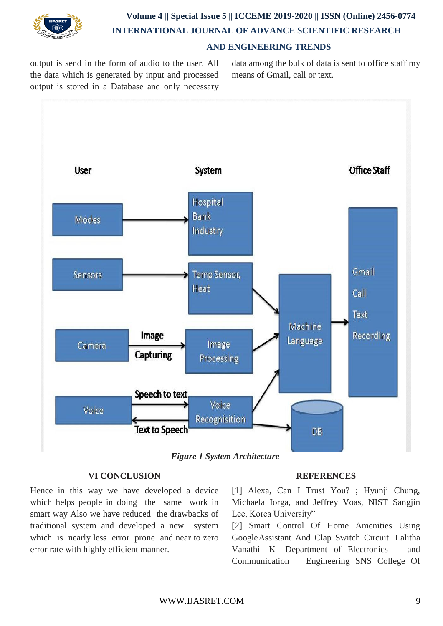

# **Volume 4 || Special Issue 5 || ICCEME 2019-2020 || ISSN (Online) 2456-0774 INTERNATIONAL JOURNAL OF ADVANCE SCIENTIFIC RESEARCH AND ENGINEERING TRENDS**

output is send in the form of audio to the user. All the data which is generated by input and processed output is stored in a Database and only necessary data among the bulk of data is sent to office staff my means of Gmail, call or text.





# **VI CONCLUSION**

Hence in this way we have developed a device which helps people in doing the same work in smart way Also we have reduced the drawbacks of traditional system and developed a new system which is nearly less error prone and near to zero error rate with highly efficient manner.

#### **REFERENCES**

[1] Alexa, Can I Trust You? ; Hyunji Chung, Michaela Iorga, and Jeffrey Voas, NIST Sangjin Lee, Korea University"

[2] Smart Control Of Home Amenities Using GoogleAssistant And Clap Switch Circuit. Lalitha Vanathi K Department of Electronics and Communication Engineering SNS College Of